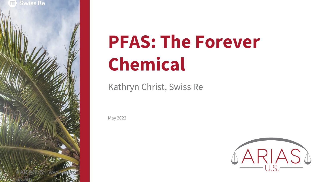

## **PFAS: The Forever Chemical**

Kathryn Christ, Swiss Re

May 2022

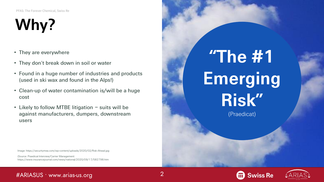## **Why?**

- They are everywhere
- They don't break down in soil or water
- Found in a huge number of industries and products (used in ski wax and found in the Alps!)
- Clean-up of water contamination is/will be a huge cost
- Likely to follow MTBE litigation suits will be against manufacturers, dumpers, downstream users

## **"The #1 Emerging Risk"**

(Praedicat)

Image: https://securitymea.com/wp-content/uploads/2020/02/Risk-Ahead.jpg

(Source: Praedicat Interview/Carrier Management: https://www.insurancejournal.com/news/national/2020/09/17/582798.htm

#### #ARIASUS • www.arias-us.org





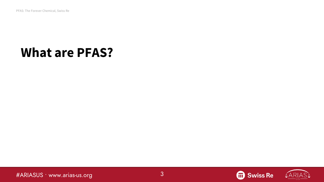### **What are PFAS?**







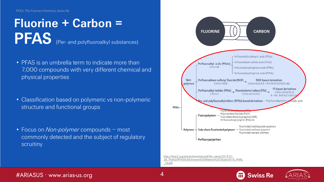PFAS: The Forever Chemical, Swiss Re

## **Fluorine + Carbon = PFAS** (Per- and polyfluoroalkyl substances)

- PFAS is an umbrella term to indicate more than 7,000 compounds with very different chemical and physical properties
- Classification based on polymeric vs non-polymeric structure and functional groups
- Focus on *Non-polymer* compounds most commonly detected and the subject of regulatory scruitiny



http://theic2.org/article/download-pdf/file\_name/2019-01- [28\\_The%20PFAS%20Universe%20Webinar%2030Jan2019\\_FINAL](http://theic2.org/article/download-pdf/file_name/2019-01-28_The%20PFAS%20Universe%20Webinar%2030Jan2019_FINAL_1p.pdf) \_1p.pdf



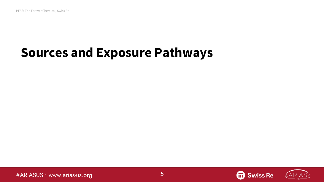### **Sources and Exposure Pathways**



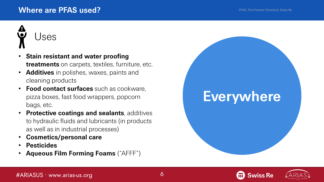

- **Stain resistant and water proofing treatments** on carpets, textiles, furniture, etc.
- **Additives** in polishes, waxes, paints and cleaning products
- **Food contact surfaces** such as cookware, pizza boxes, fast food wrappers, popcorn bags, etc.
- **Protective coatings and sealants**, additives to hydraulic fluids and lubricants (in products as well as in industrial processes)
- **Cosmetics/personal care**
- **Pesticides**
- **Aqueous Film Forming Foams** ("AFFF")







6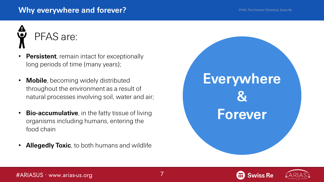#### **Why everywhere and forever?**

PFAS are:

- **Persistent**, remain intact for exceptionally long periods of time (many years);
- **Mobile**, becoming widely distributed throughout the environment as a result of natural processes involving soil, water and air;
- **Bio-accumulative**, in the fatty tissue of living organisms including humans, entering the food chain
- **Allegedly Toxic**, to both humans and wildlife



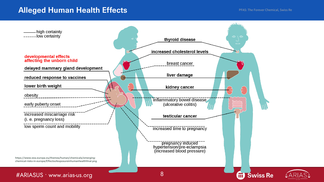#### **Alleged Human Health Effects**

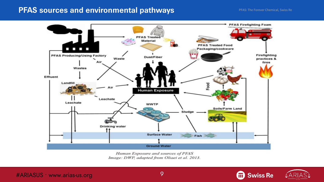#### **PFAS sources and environmental pathways**



Human Exposure and sources of PFAS Image: DWP, adapted from Oliaei et al. 2013.



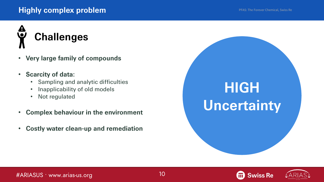#### **Highly complex problem**

# **Challenges**

- **Very large family of compounds**
- **Scarcity of data:**
	- Sampling and analytic difficulties
	- Inapplicability of old models
	- Not regulated
- **Complex behaviour in the environment**
- **Costly water clean-up and remediation**

## **HIGH Uncertainty**

**Swiss Re** 

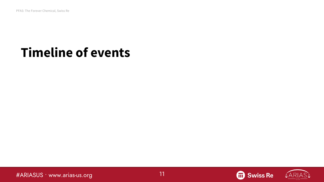### **Timeline of events**





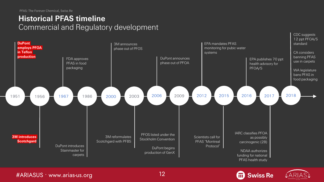#### **Historical PFAS timeline** Commercial and Regulatory development



#ARIASUS • www.arias-us.org

12

**Swiss Re**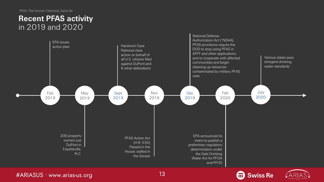PFAS: The Forever Chemical, Swiss Re

#### **Recent PFAS activity** in 2019 and 2020



13

#### #ARIASUS • www.arias-us.org

**Swiss Re**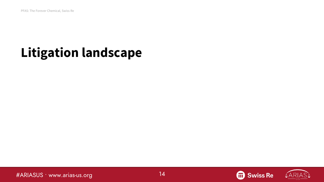## **Litigation landscape**



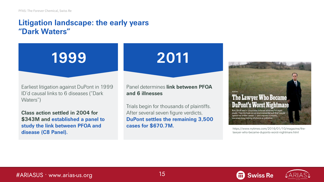#### **Litigation landscape: the early years "Dark Waters"**



Earliest litigation against DuPont in 1999 ID'd causal links to 6 diseases ("Dark Waters")

**Class action settled in 2004 for \$343M and established a panel to study the link between PFOA and disease (C8 Panel).**

Panel determines **link between PFOA and 6 illnesses**

Trials begin for thousands of plaintiffs. After several seven figure verdicts, **DuPont settles the remaining 3,500 cases for \$670.7M.**



https://www.nytimes.com/2016/01/10/magazine/thelawyer-who-became-duponts-worst-nightmare.html





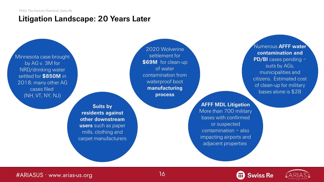#### **Litigation Landscape: 20 Years Later**

Minnesota case brought by AG v. 3M for NRD/drinking water settled for **\$850M** in 2018; many other AG cases filed (NH, VT, NY, NJ)

> **Suits by residents against other downstream users** such as paper mills, clothing and carpet manufacturers

2020 Wolverine settlement for **\$69M** for clean-up of water contamination from waterproof boot **manufacturing process**

> **AFFF MDL Litigation** More than 700 military bases with confirmed or suspected contamination – also impacting airports and adjacent properties

Numerous **AFFF water contamination and PD/BI** cases pending suits by AGs, municipalities and citizens. Estimated cost of clean-up for military bases alone is \$2B



#### #ARIASUS • www.arias-us.org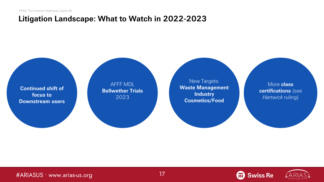#### **Litigation Landscape: What to Watch in 2022-2023**

**Continued shift of focus to Downstream users**

AFFF MDL **Bellwether Trials** 2023

New Targets: **Waste Management Industry Cosmetics/Food**

More **class certifications** (see *Hartwick* ruling)

**Swiss Re** 

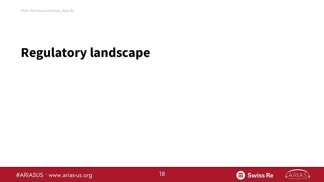### **Regulatory landscape**



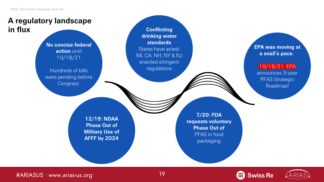

#ARIASUS • www.arias-us.org

19

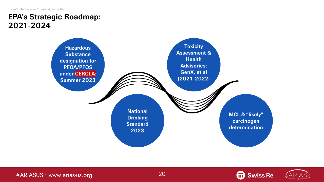PFAS: The Forever Chemical, Swiss Re

#### **EPA's Strategic Roadmap: 2021-2024**



**Swiss Re** 

 $\bf \varpi$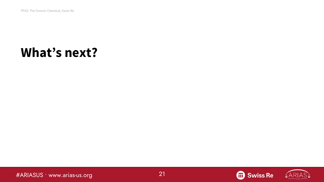### **What's next?**



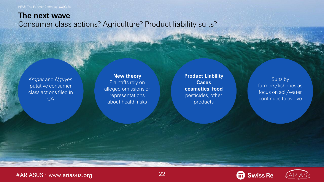#### **The next wave** Consumer class actions? Agriculture? Product liability suits?

*Kroger* and *Nguyen*  putative consumer class actions filed in CA

**New theory** Plaintiffs rely on alleged omissions or representations about health risks

**Product Liability Cases cosmetics**, **food** pesticides, other products

Suits by farmers/fisheries as focus on soil/water continues to evolve

**Swiss Re** 



#### #ARIASUS • www.arias-us.org

2000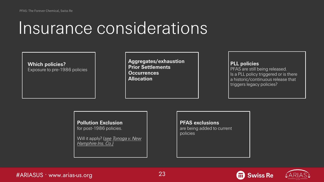## Insurance considerations

**Which policies?** Exposure to pre-1986 policies **Aggregates/exhaustion Prior Settlements Occurrences Allocation**

#### **PLL policies**

PFAS are still being released. Is a PLL policy triggered or is there a historic/continuous release that triggers legacy policies?

**Swiss Re** 

#### **Pollution Exclusion**

for post-1986 policies.

Will it apply? (*see Tonoga v. New Hamphire Ins. Co.)*

**PFAS exclusions** are being added to current policies

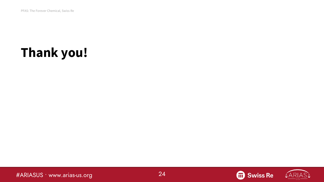## **Thank you!**







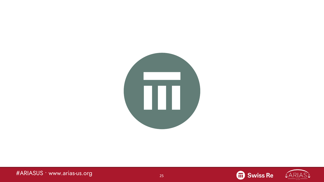